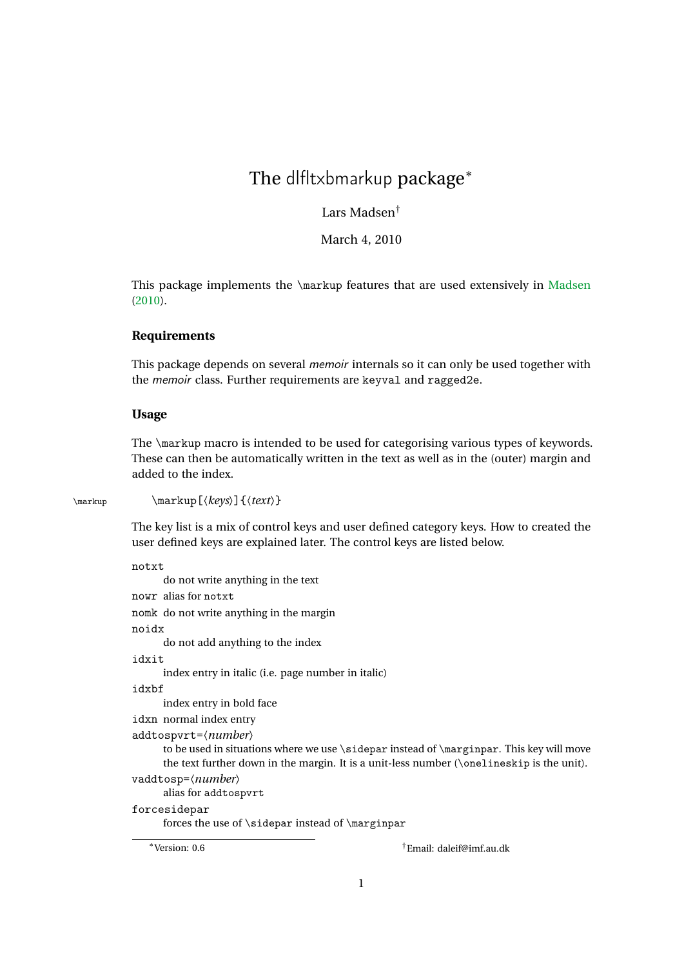# The dlfltxbmarkup package<sup>\*</sup>

Lars Madsen†

March 4, 2010

This package implements the \markup features that are used extensively in [Madsen](#page-3-0) [\(2010\)](#page-3-0).

### **Requirements**

This package depends on several memoir internals so it can only be used together with the memoir class. Further requirements are keyval and ragged2e.

#### **Usage**

The \markup macro is intended to be used for categorising various types of keywords. These can then be automatically written in the text as well as in the (outer) margin and added to the index.

\markup \markup[〈*keys*〉]{〈*text*〉}

The key list is a mix of control keys and user defined category keys. How to created the user defined keys are explained later. The control keys are listed below.

notxt do not write anything in the text

nowr alias for notxt nomk do not write anything in the margin noidx do not add anything to the index idxit index entry in italic (i.e. page number in italic) idxbf index entry in bold face idxn normal index entry addtospvrt=〈*number*〉 to be used in situations where we use \sidepar instead of \marginpar. This key will move the text further down in the margin. It is a unit-less number  $(\n\boldsymbol{\delta})$  is the unit). vaddtosp=〈*number*〉 alias for addtospvrt forcesidepar forces the use of \sidepar instead of \marginpar

<sup>∗</sup>Version: 0.6 †Email: daleif@imf.au.dk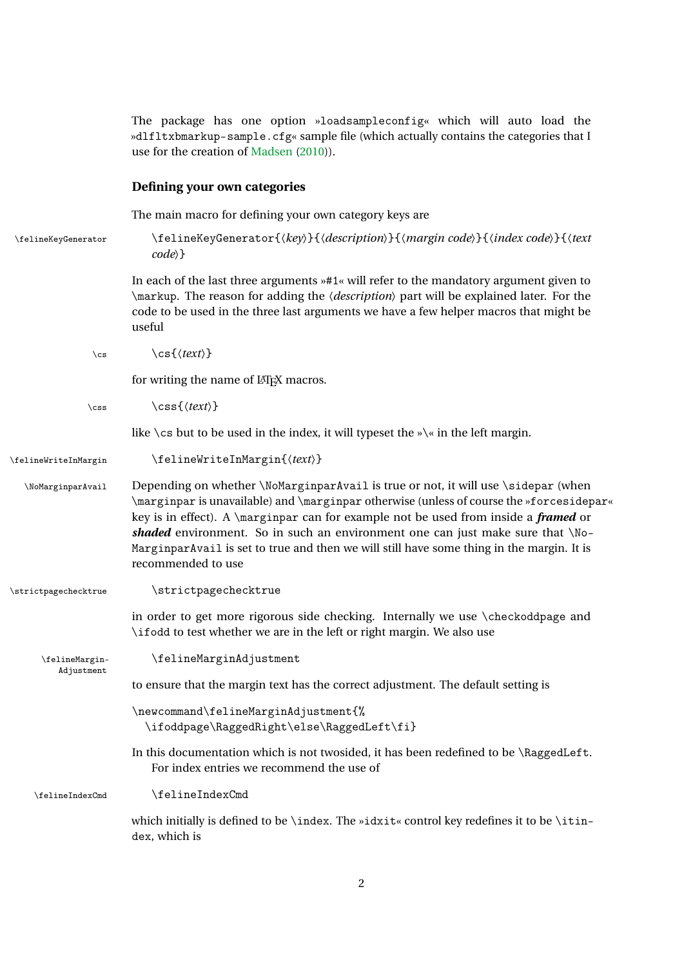|                              | The package has one option »loadsampleconfig« which will auto load the<br>»dlfltxbmarkup-sample.cfg« sample file (which actually contains the categories that I<br>use for the creation of Madsen (2010)).                                                                                                                                                                                                                                                                       |
|------------------------------|----------------------------------------------------------------------------------------------------------------------------------------------------------------------------------------------------------------------------------------------------------------------------------------------------------------------------------------------------------------------------------------------------------------------------------------------------------------------------------|
|                              | Defining your own categories                                                                                                                                                                                                                                                                                                                                                                                                                                                     |
|                              | The main macro for defining your own category keys are                                                                                                                                                                                                                                                                                                                                                                                                                           |
| \felineKeyGenerator          | \felineKeyGenerator{(key)}{(description)}{(margin code)}{(index code)}{(text<br>$code\rangle$                                                                                                                                                                                                                                                                                                                                                                                    |
|                              | In each of the last three arguments $*41$ « will refer to the mandatory argument given to<br>\markup. The reason for adding the <i>(description)</i> part will be explained later. For the<br>code to be used in the three last arguments we have a few helper macros that might be<br>useful                                                                                                                                                                                    |
| $\setminus$ cs               | $\csc\{\langle text \rangle\}$                                                                                                                                                                                                                                                                                                                                                                                                                                                   |
|                              | for writing the name of LAT <sub>E</sub> X macros.                                                                                                                                                                                                                                                                                                                                                                                                                               |
| $\csc$                       | $\css{\langle text \rangle}$                                                                                                                                                                                                                                                                                                                                                                                                                                                     |
|                              | like $\setminus$ cs but to be used in the index, it will typeset the » $\setminus$ « in the left margin.                                                                                                                                                                                                                                                                                                                                                                         |
| \felineWriteInMargin         | \felineWriteInMargin{(text)}                                                                                                                                                                                                                                                                                                                                                                                                                                                     |
| \NoMarginparAvail            | Depending on whether \NoMarginparAvail is true or not, it will use \sidepar (when<br>\marginpar is unavailable) and \marginpar otherwise (unless of course the »forcesidepar«<br>key is in effect). A \marginpar can for example not be used from inside a <i>framed</i> or<br>shaded environment. So in such an environment one can just make sure that \No-<br>MarginparAvail is set to true and then we will still have some thing in the margin. It is<br>recommended to use |
| \strictpagechecktrue         | \strictpagechecktrue                                                                                                                                                                                                                                                                                                                                                                                                                                                             |
|                              | in order to get more rigorous side checking. Internally we use \checkoddpage and<br>\ifodd to test whether we are in the left or right margin. We also use                                                                                                                                                                                                                                                                                                                       |
| \felineMargin-<br>Adjustment | \felineMarginAdjustment                                                                                                                                                                                                                                                                                                                                                                                                                                                          |
|                              | to ensure that the margin text has the correct adjustment. The default setting is                                                                                                                                                                                                                                                                                                                                                                                                |
|                              | \newcommand\felineMarginAdjustment{%<br>\ifoddpage\RaggedRight\else\RaggedLeft\fi}                                                                                                                                                                                                                                                                                                                                                                                               |
|                              | In this documentation which is not twosided, it has been redefined to be \RaggedLeft.<br>For index entries we recommend the use of                                                                                                                                                                                                                                                                                                                                               |
| \felineIndexCmd              | \felineIndexCmd                                                                                                                                                                                                                                                                                                                                                                                                                                                                  |
|                              | which initially is defined to be \index. The »idxit« control key redefines it to be \itin-<br>dex, which is                                                                                                                                                                                                                                                                                                                                                                      |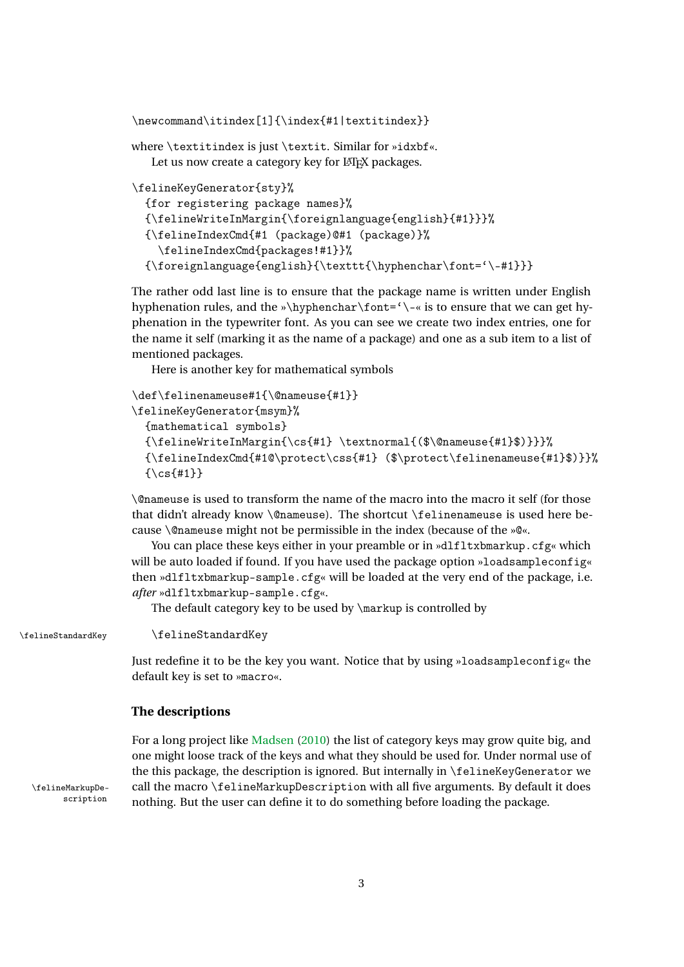```
\newcommand\itindex[1]{\index{#1|textitindex}}
```
where \textitindex is just \textit. Similar for »idxbf«. Let us now create a category key for LATEX packages.

```
\felineKeyGenerator{sty}%
  {for registering package names}%
  {\felineWriteInMargin{\foreignlanguage{english}{#1}}}%
  {\felineIndexCmd{#1 (package)@#1 (package)}%
    \felineIndexCmd{packages!#1}}%
  {\foreignlanguage{english}{\texttt{\hyphenchar\font='\-#1}}}
```
The rather odd last line is to ensure that the package name is written under English hyphenation rules, and the »\hyphenchar\font='\-« is to ensure that we can get hyphenation in the typewriter font. As you can see we create two index entries, one for the name it self (marking it as the name of a package) and one as a sub item to a list of mentioned packages.

Here is another key for mathematical symbols

```
\def\felinenameuse#1{\@nameuse{#1}}
\felineKeyGenerator{msym}%
  {mathematical symbols}
  {\felineWriteInMargin{\cs{#1} \textnormal{($\@nameuse{#1}$)}}}%
  {\felineIndexCmd{#1@\protect\css{#1} ($\protect\felinenameuse{#1}$)}}%
  {\csc{+1}}
```
\@nameuse is used to transform the name of the macro into the macro it self (for those that didn't already know \@nameuse). The shortcut \felinenameuse is used here because \@nameuse might not be permissible in the index (because of the »@«.

You can place these keys either in your preamble or in »dlfltxbmarkup.cfg« which will be auto loaded if found. If you have used the package option »loadsampleconfig« then »dlfltxbmarkup-sample.cfg« will be loaded at the very end of the package, i.e. *after* »dlfltxbmarkup-sample.cfg«.

The default category key to be used by \markup is controlled by

\felineStandardKey \felineStandardKey

Just redefine it to be the key you want. Notice that by using »loadsampleconfig« the default key is set to »macro«.

#### **The descriptions**

For a long project like [Madsen](#page-3-0) [\(2010\)](#page-3-0) the list of category keys may grow quite big, and one might loose track of the keys and what they should be used for. Under normal use of the this package, the description is ignored. But internally in \felineKeyGenerator we \felineMarkupDe- call the macro \felineMarkupDescription with all five arguments. By default it does<br>scription pothing But the user can define it to de something before loading the package nothing. But the user can define it to do something before loading the package.